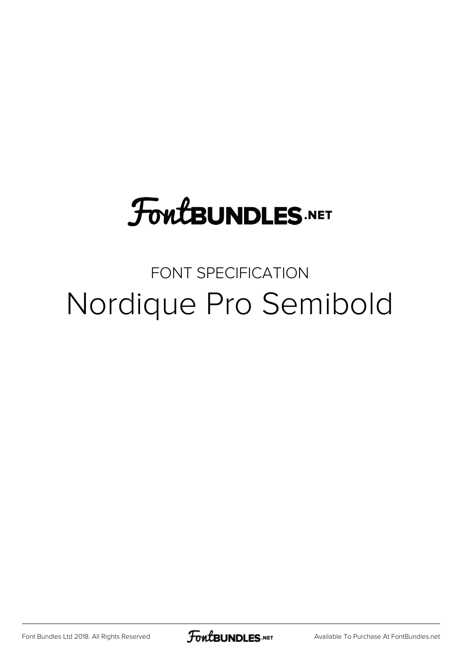## **FoutBUNDLES.NET**

#### FONT SPECIFICATION Nordique Pro Semibold

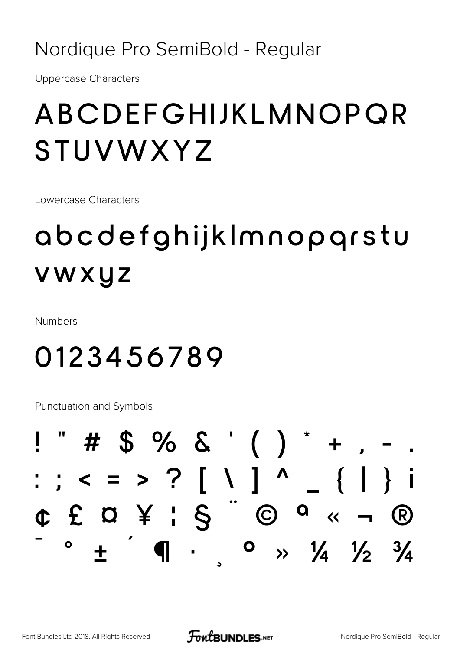#### Nordique Pro SemiBold - Regular

**Uppercase Characters** 

#### ABCDEFGHIJKLMNOPQR STUVWXYZ

Lowercase Characters

### abcdefghijkImnopqrstu vwxyz

**Numbers** 

#### 0123456789

**Punctuation and Symbols** 

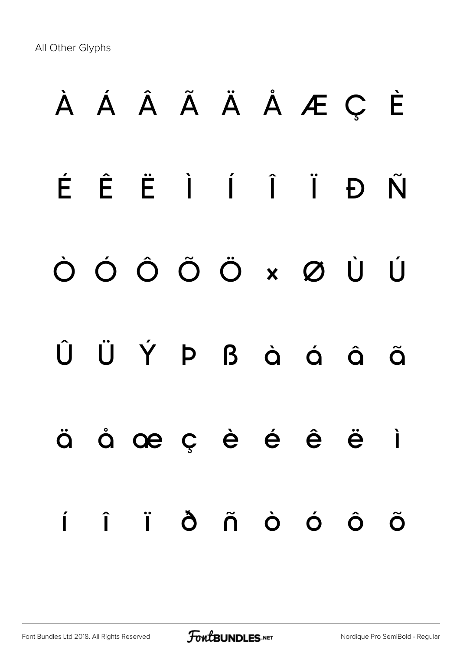All Other Glyphs

# **À Á Â Ã Ä Å Æ Ç È É Ê Ë Ì Í Î Ï Ð Ñ Ò Ó Ô Õ Ö × Ø Ù Ú Û Ü Ý Þ ß à á â ã ä å æ ç è é ê ë ì í î ï ð ñ ò ó ô õ**

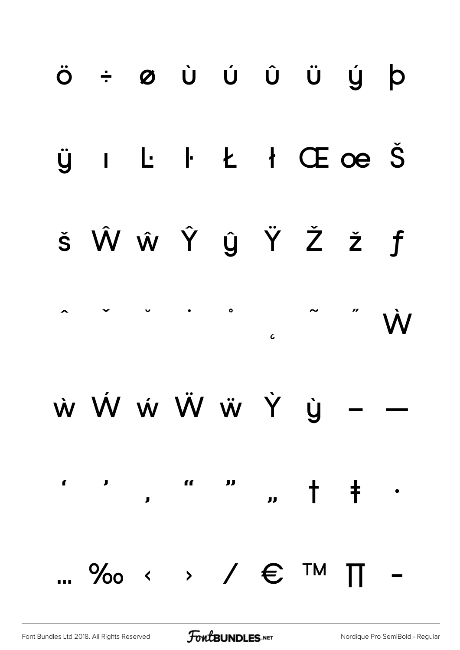

**FoutBUNDLES**.NET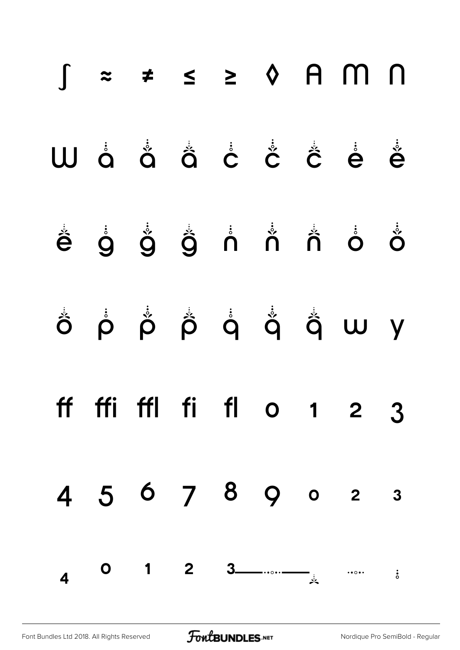|  |  |  | $\int z \neq \leq z \land A$ m n |                |
|--|--|--|----------------------------------|----------------|
|  |  |  | W å å å å å å å å å              |                |
|  |  |  | ĕ ġ ǧ ĝ n n n o ŏ                |                |
|  |  |  |                                  |                |
|  |  |  | ff ffi ffl fi fl $\circ$ 1 2 3   |                |
|  |  |  | 4 5 6 7 8 9 0 2 3                |                |
|  |  |  |                                  | $\ddot{\cdot}$ |